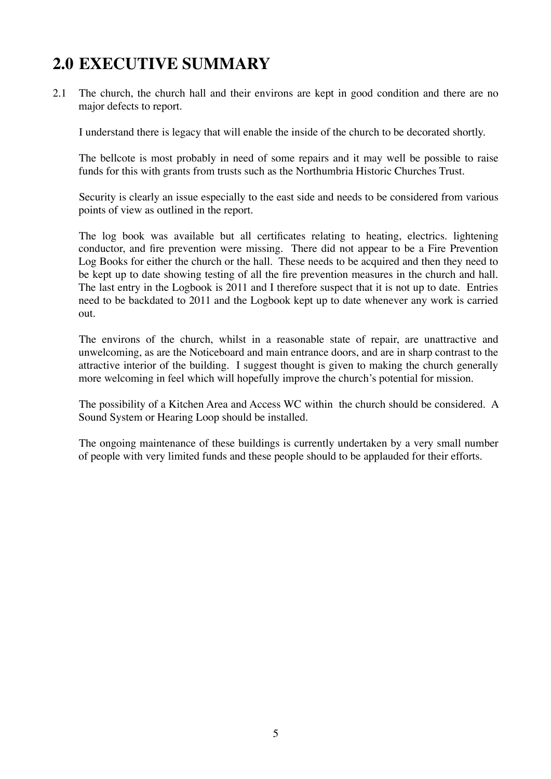# **2.0 EXECUTIVE SUMMARY**

2.1 The church, the church hall and their environs are kept in good condition and there are no major defects to report.

I understand there is legacy that will enable the inside of the church to be decorated shortly.

The bellcote is most probably in need of some repairs and it may well be possible to raise funds for this with grants from trusts such as the Northumbria Historic Churches Trust.

Security is clearly an issue especially to the east side and needs to be considered from various points of view as outlined in the report.

The log book was available but all certificates relating to heating, electrics. lightening conductor, and fire prevention were missing. There did not appear to be a Fire Prevention Log Books for either the church or the hall. These needs to be acquired and then they need to be kept up to date showing testing of all the fire prevention measures in the church and hall. The last entry in the Logbook is 2011 and I therefore suspect that it is not up to date. Entries need to be backdated to 2011 and the Logbook kept up to date whenever any work is carried out.

The environs of the church, whilst in a reasonable state of repair, are unattractive and unwelcoming, as are the Noticeboard and main entrance doors, and are in sharp contrast to the attractive interior of the building. I suggest thought is given to making the church generally more welcoming in feel which will hopefully improve the church's potential for mission.

The possibility of a Kitchen Area and Access WC within the church should be considered. A Sound System or Hearing Loop should be installed.

The ongoing maintenance of these buildings is currently undertaken by a very small number of people with very limited funds and these people should to be applauded for their efforts.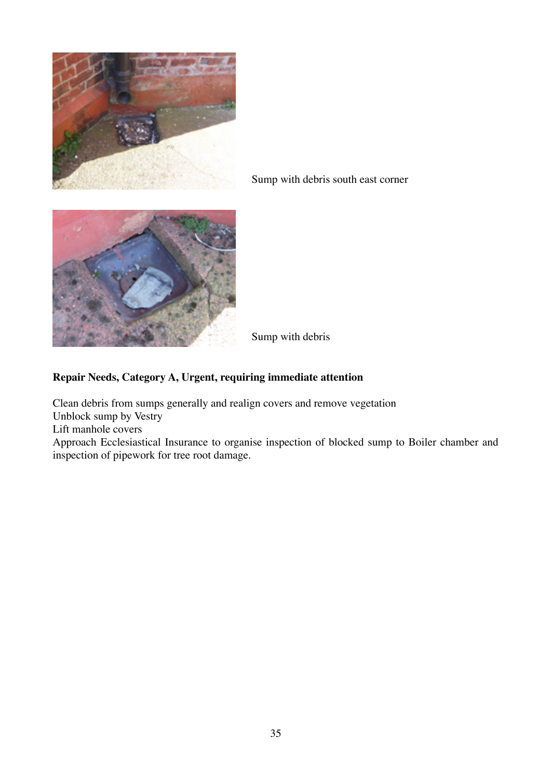

Sump with debris south east corner



Sump with debris

# **Repair Needs, Category A, Urgent, requiring immediate attention**

Clean debris from sumps generally and realign covers and remove vegetation

Unblock sump by Vestry

Lift manhole covers

Approach Ecclesiastical Insurance to organise inspection of blocked sump to Boiler chamber and inspection of pipework for tree root damage.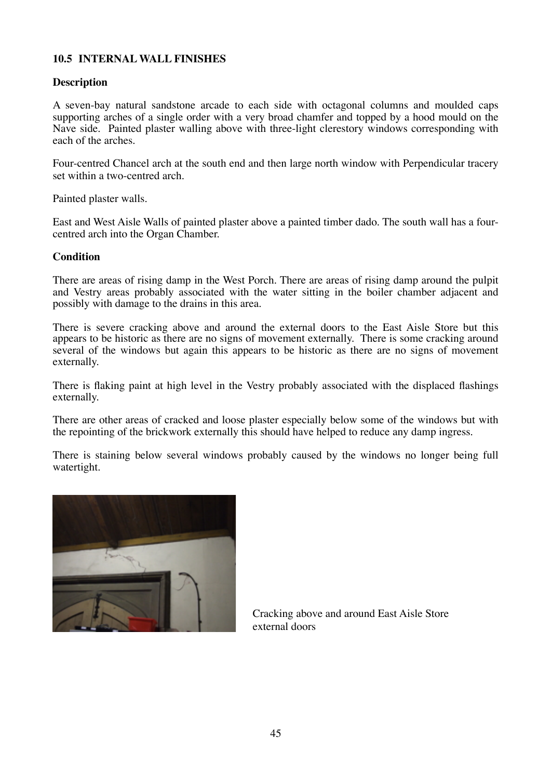# **10.5 INTERNAL WALL FINISHES**

#### **Description**

A seven-bay natural sandstone arcade to each side with octagonal columns and moulded caps supporting arches of a single order with a very broad chamfer and topped by a hood mould on the Nave side. Painted plaster walling above with three-light clerestory windows corresponding with each of the arches.

Four-centred Chancel arch at the south end and then large north window with Perpendicular tracery set within a two-centred arch.

Painted plaster walls.

East and West Aisle Walls of painted plaster above a painted timber dado. The south wall has a fourcentred arch into the Organ Chamber.

#### **Condition**

There are areas of rising damp in the West Porch. There are areas of rising damp around the pulpit and Vestry areas probably associated with the water sitting in the boiler chamber adjacent and possibly with damage to the drains in this area.

There is severe cracking above and around the external doors to the East Aisle Store but this appears to be historic as there are no signs of movement externally. There is some cracking around several of the windows but again this appears to be historic as there are no signs of movement externally.

There is flaking paint at high level in the Vestry probably associated with the displaced flashings externally.

There are other areas of cracked and loose plaster especially below some of the windows but with the repointing of the brickwork externally this should have helped to reduce any damp ingress.

There is staining below several windows probably caused by the windows no longer being full watertight.



Cracking above and around East Aisle Store external doors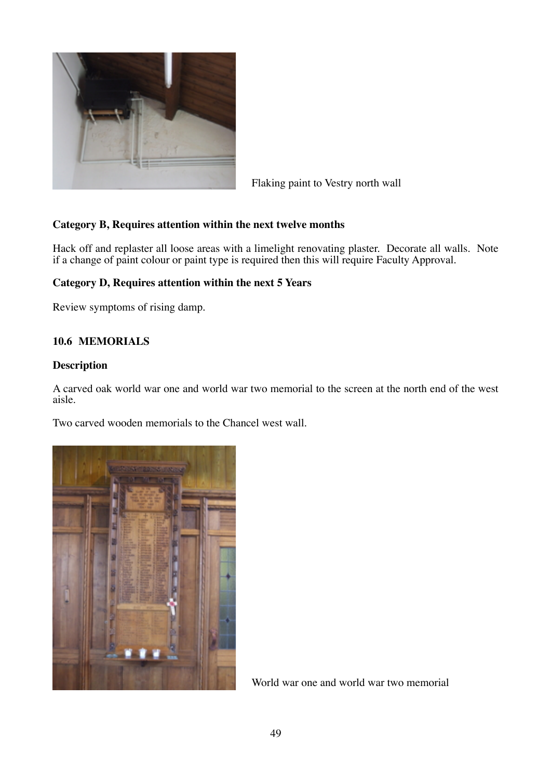

Flaking paint to Vestry north wall

# **Category B, Requires attention within the next twelve months**

Hack off and replaster all loose areas with a limelight renovating plaster. Decorate all walls. Note if a change of paint colour or paint type is required then this will require Faculty Approval.

# **Category D, Requires attention within the next 5 Years**

Review symptoms of rising damp.

# **10.6 MEMORIALS**

#### **Description**

A carved oak world war one and world war two memorial to the screen at the north end of the west aisle.

Two carved wooden memorials to the Chancel west wall.



World war one and world war two memorial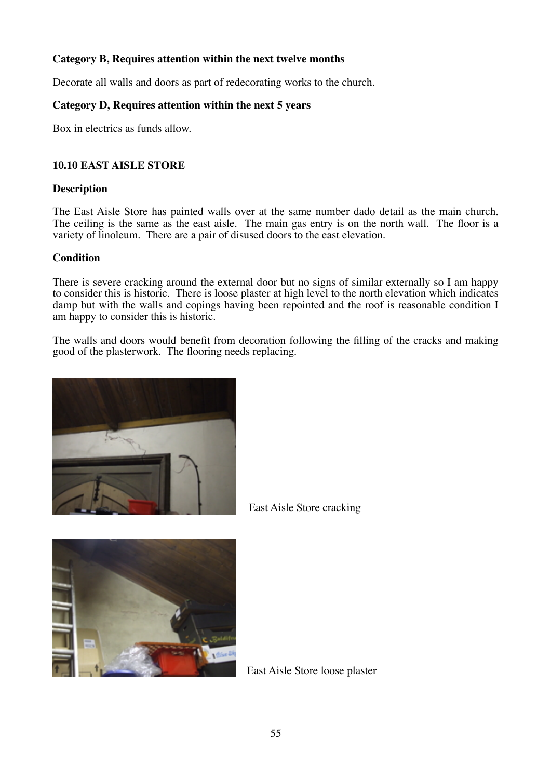# **Category B, Requires attention within the next twelve months**

Decorate all walls and doors as part of redecorating works to the church.

#### **Category D, Requires attention within the next 5 years**

Box in electrics as funds allow.

#### **10.10 EAST AISLE STORE**

#### **Description**

The East Aisle Store has painted walls over at the same number dado detail as the main church. The ceiling is the same as the east aisle. The main gas entry is on the north wall. The floor is a variety of linoleum. There are a pair of disused doors to the east elevation.

#### **Condition**

There is severe cracking around the external door but no signs of similar externally so I am happy to consider this is historic. There is loose plaster at high level to the north elevation which indicates damp but with the walls and copings having been repointed and the roof is reasonable condition I am happy to consider this is historic.

The walls and doors would benefit from decoration following the filling of the cracks and making good of the plasterwork. The flooring needs replacing.





East Aisle Store cracking

East Aisle Store loose plaster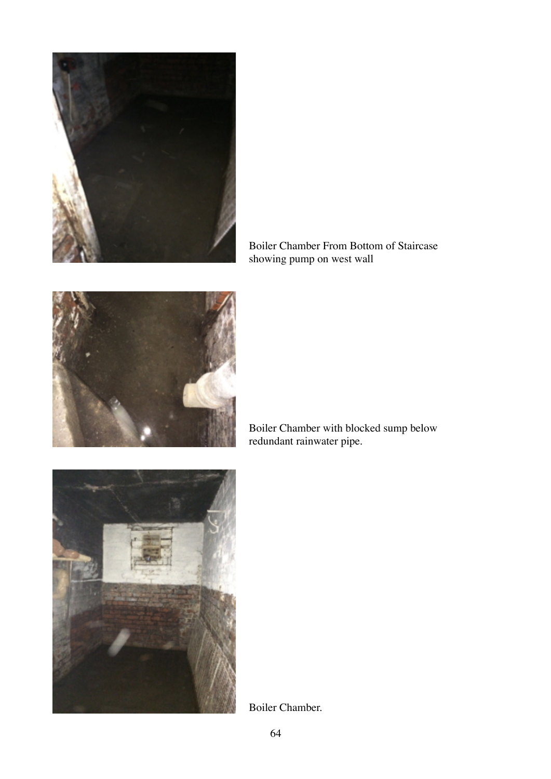

Boiler Chamber From Bottom of Staircase showing pump on west wall



Boiler Chamber with blocked sump below redundant rainwater pipe.



Boiler Chamber.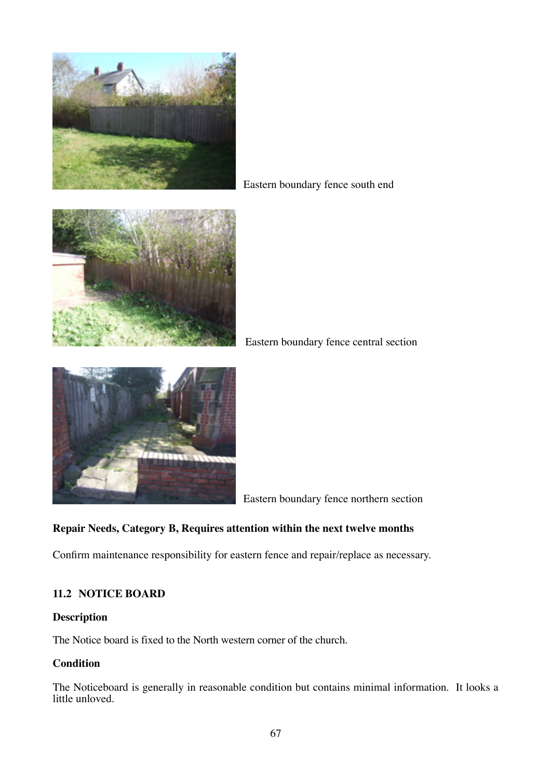

Eastern boundary fence south end



Eastern boundary fence central section



Eastern boundary fence northern section

# **Repair Needs, Category B, Requires attention within the next twelve months**

Confirm maintenance responsibility for eastern fence and repair/replace as necessary.

# **11.2 NOTICE BOARD**

#### **Description**

The Notice board is fixed to the North western corner of the church.

# **Condition**

The Noticeboard is generally in reasonable condition but contains minimal information. It looks a little unloved.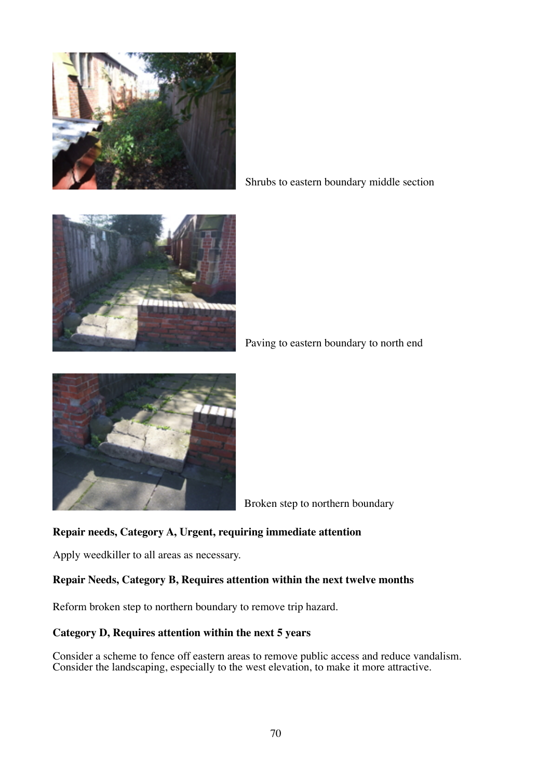

Shrubs to eastern boundary middle section



Paving to eastern boundary to north end



Broken step to northern boundary

# **Repair needs, Category A, Urgent, requiring immediate attention**

Apply weedkiller to all areas as necessary.

#### **Repair Needs, Category B, Requires attention within the next twelve months**

Reform broken step to northern boundary to remove trip hazard.

#### **Category D, Requires attention within the next 5 years**

Consider a scheme to fence off eastern areas to remove public access and reduce vandalism. Consider the landscaping, especially to the west elevation, to make it more attractive.